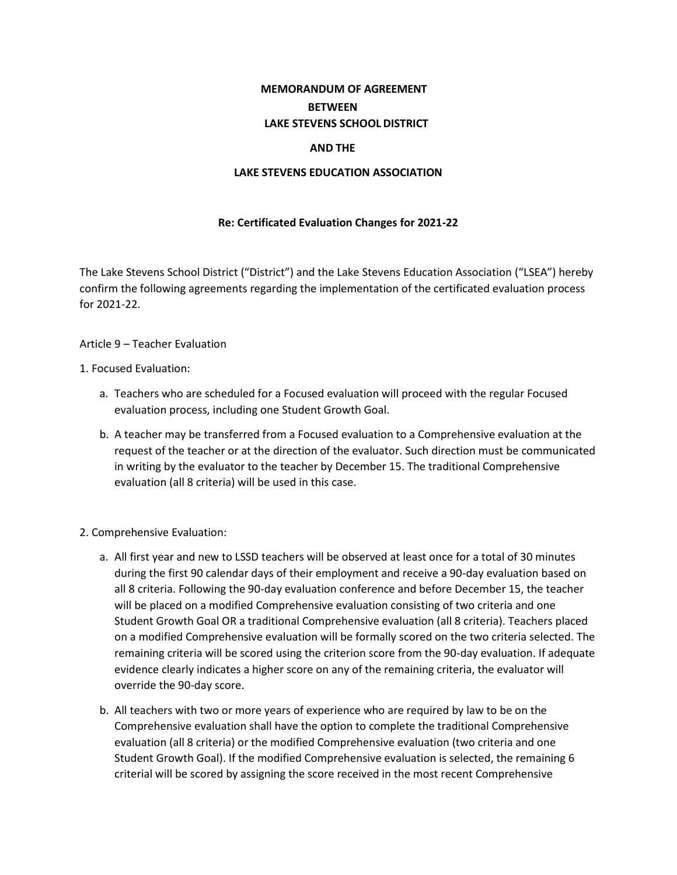# **MEMORANDUM OF AGREEMENT BETWEEN LAKE STEVENS SCHOOL DISTRICT**

## **AND THE**

## **LAKE STEVENS EDUCATION ASSOCIATION**

# **Re: Certificated Evaluation Changes for 2021-22**

The Lake Stevens School District ("District") and the Lake Stevens Education Association ("LSEA") hereby confirm the following agreements regarding the implementation of the certificated evaluation process for 2021-22.

### Article 9 – Teacher Evaluation

### 1. Focused Evaluation:

- a. Teachers who are scheduled for a Focused evaluation will proceed with the regular Focused evaluation process, including one Student Growth Goal.
- b. A teacher may be transferred from a Focused evaluation to a Comprehensive evaluation at the request of the teacher or at the direction of the evaluator. Such direction must be communicated in writing by the evaluator to the teacher by December 15. The traditional Comprehensive evaluation (all 8 criteria) will be used in this case.
- 2. Comprehensive Evaluation:
	- a. All first year and new to LSSD teachers will be observed at least once for a total of 30 minutes during the first 90 calendar days of their employment and receive a 90-day evaluation based on all 8 criteria. Following the 90-day evaluation conference and before December 15, the teacher will be placed on a modified Comprehensive evaluation consisting of two criteria and one Student Growth Goal OR a traditional Comprehensive evaluation (all 8 criteria). Teachers placed on a modified Comprehensive evaluation will be formally scored on the two criteria selected. The remaining criteria will be scored using the criterion score from the 90-day evaluation. If adequate evidence clearly indicates a higher score on any of the remaining criteria, the evaluator will override the 90-day score.
	- b. All teachers with two or more years of experience who are required by law to be on the Comprehensive evaluation shall have the option to complete the traditional Comprehensive evaluation (all 8 criteria) or the modified Comprehensive evaluation (two criteria and one Student Growth Goal). If the modified Comprehensive evaluation is selected, the remaining 6 criterial will be scored by assigning the score received in the most recent Comprehensive